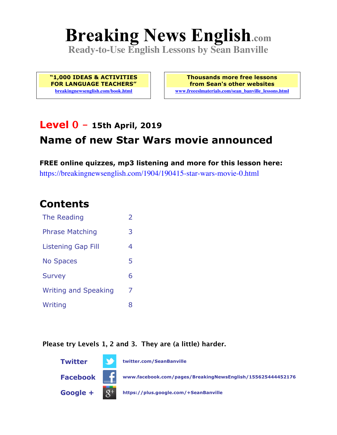# **Breaking News English.com**

**Ready-to-Use English Lessons by Sean Banville**

**"1,000 IDEAS & ACTIVITIES FOR LANGUAGE TEACHERS" breakingnewsenglish.com/book.html**

**Thousands more free lessons from Sean's other websites www.freeeslmaterials.com/sean\_banville\_lessons.html**

### **Level 0 - 15th April, 2019**

# **Name of new Star Wars movie announced**

**FREE online quizzes, mp3 listening and more for this lesson here:** https://breakingnewsenglish.com/1904/190415-star-wars-movie-0.html

### **Contents**

| <b>The Reading</b>          | $\overline{\phantom{a}}$ |
|-----------------------------|--------------------------|
| <b>Phrase Matching</b>      | 3                        |
| <b>Listening Gap Fill</b>   | 4                        |
| <b>No Spaces</b>            | 5                        |
| <b>Survey</b>               | 6                        |
| <b>Writing and Speaking</b> | 7                        |
| Writing                     | 8                        |

#### **Please try Levels 1, 2 and 3. They are (a little) harder.**

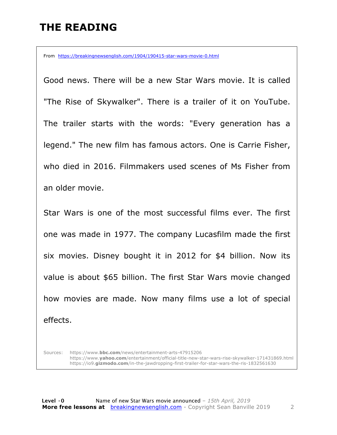## **THE READING**

From https://breakingnewsenglish.com/1904/190415-star-wars-movie-0.html

Good news. There will be a new Star Wars movie. It is called "The Rise of Skywalker". There is a trailer of it on YouTube. The trailer starts with the words: "Every generation has a legend." The new film has famous actors. One is Carrie Fisher, who died in 2016. Filmmakers used scenes of Ms Fisher from an older movie.

Star Wars is one of the most successful films ever. The first one was made in 1977. The company Lucasfilm made the first six movies. Disney bought it in 2012 for \$4 billion. Now its value is about \$65 billion. The first Star Wars movie changed how movies are made. Now many films use a lot of special effects.

Sources: https://www.**bbc.com**/news/entertainment-arts-47915206 https://www.**yahoo.com**/entertainment/official-title-new-star-wars-rise-skywalker-171431869.html https://io9.**gizmodo.com**/in-the-jawdropping-first-trailer-for-star-wars-the-ris-1832561630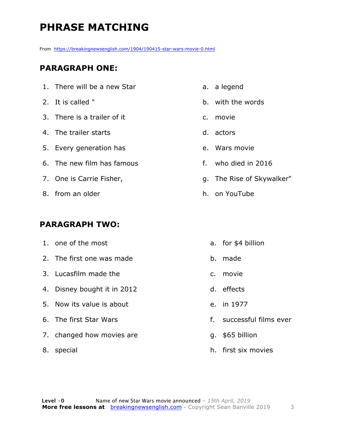# **PHRASE MATCHING**

From https://breakingnewsenglish.com/1904/190415-star-wars-movie-0.html

#### **PARAGRAPH ONE:**

- 1. There will be a new Star
- 2. It is called "
- 3. There is a trailer of it
- 4. The trailer starts
- 5. Every generation has
- 6. The new film has famous
- 7. One is Carrie Fisher,
- 8. from an older

#### **PARAGRAPH TWO:**

- 1. one of the most
- 2. The first one was made
- 3. Lucasfilm made the
- 4. Disney bought it in 2012
- 5. Now its value is about
- 6. The first Star Wars
- 7. changed how movies are
- 8. special
- a. a legend
- b. with the words
- c. movie
- d. actors
- e. Wars movie
- f. who died in 2016
- g. The Rise of Skywalker"
- h. on YouTube
	- a. for \$4 billion
	- b. made
	- c. movie
	- d. effects
	- e. in 1977
	- f. successful films ever
	- g. \$65 billion
	- h. first six movies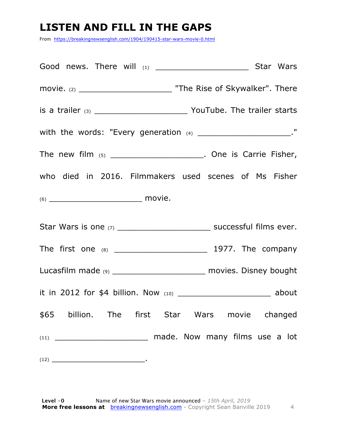# **LISTEN AND FILL IN THE GAPS**

From https://breakingnewsenglish.com/1904/190415-star-wars-movie-0.html

| movie. (2) _________________________________ "The Rise of Skywalker". There |  |
|-----------------------------------------------------------------------------|--|
|                                                                             |  |
| with the words: "Every generation $(4)$ _______________________"            |  |
| The new film $(5)$ __________________________. One is Carrie Fisher,        |  |
| who died in 2016. Filmmakers used scenes of Ms Fisher                       |  |
|                                                                             |  |
|                                                                             |  |
|                                                                             |  |
| Lucasfilm made (9) ___________________________ movies. Disney bought        |  |
|                                                                             |  |
| \$65 billion. The first Star Wars movie changed                             |  |
|                                                                             |  |
|                                                                             |  |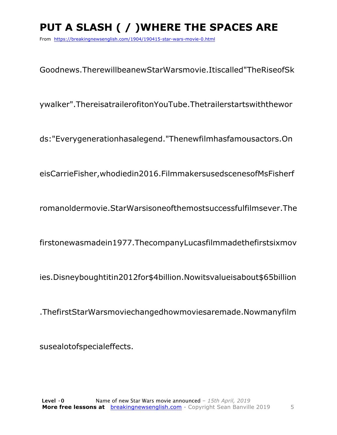# **PUT A SLASH ( / )WHERE THE SPACES ARE**

From https://breakingnewsenglish.com/1904/190415-star-wars-movie-0.html

Goodnews.TherewillbeanewStarWarsmovie.Itiscalled"TheRiseofSk

ywalker".ThereisatrailerofitonYouTube.Thetrailerstartswiththewor

ds:"Everygenerationhasalegend."Thenewfilmhasfamousactors.On

eisCarrieFisher,whodiedin2016.FilmmakersusedscenesofMsFisherf

romanoldermovie.StarWarsisoneofthemostsuccessfulfilmsever.The

firstonewasmadein1977.ThecompanyLucasfilmmadethefirstsixmov

ies.Disneyboughtitin2012for\$4billion.Nowitsvalueisabout\$65billion

.ThefirstStarWarsmoviechangedhowmoviesaremade.Nowmanyfilm

susealotofspecialeffects.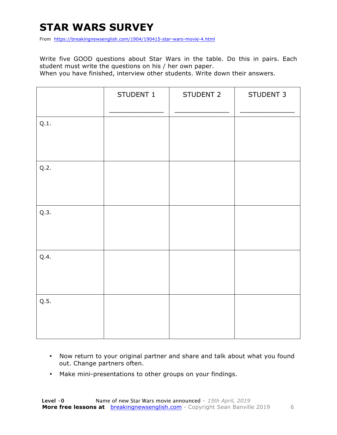## **STAR WARS SURVEY**

From https://breakingnewsenglish.com/1904/190415-star-wars-movie-4.html

Write five GOOD questions about Star Wars in the table. Do this in pairs. Each student must write the questions on his / her own paper.

When you have finished, interview other students. Write down their answers.

|      | STUDENT 1 | STUDENT 2 | STUDENT 3 |
|------|-----------|-----------|-----------|
| Q.1. |           |           |           |
| Q.2. |           |           |           |
| Q.3. |           |           |           |
| Q.4. |           |           |           |
| Q.5. |           |           |           |

- Now return to your original partner and share and talk about what you found out. Change partners often.
- Make mini-presentations to other groups on your findings.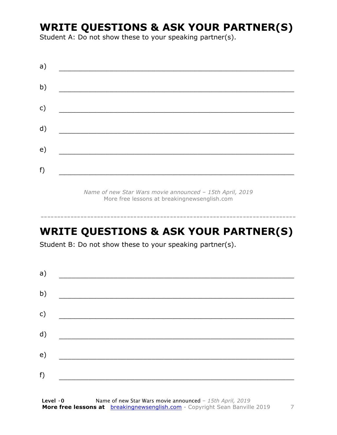### **WRITE QUESTIONS & ASK YOUR PARTNER(S)**

Student A: Do not show these to your speaking partner(s).

| a) |  |  |  |
|----|--|--|--|
| b) |  |  |  |
| c) |  |  |  |
| d) |  |  |  |
| e) |  |  |  |
| f) |  |  |  |

*Name of new Star Wars movie announced – 15th April, 2019* More free lessons at breakingnewsenglish.com

### **WRITE QUESTIONS & ASK YOUR PARTNER(S)**

-----------------------------------------------------------------------------

Student B: Do not show these to your speaking partner(s).

| a) |  |  |
|----|--|--|
| b) |  |  |
| c) |  |  |
| d) |  |  |
| e) |  |  |
| f) |  |  |
|    |  |  |